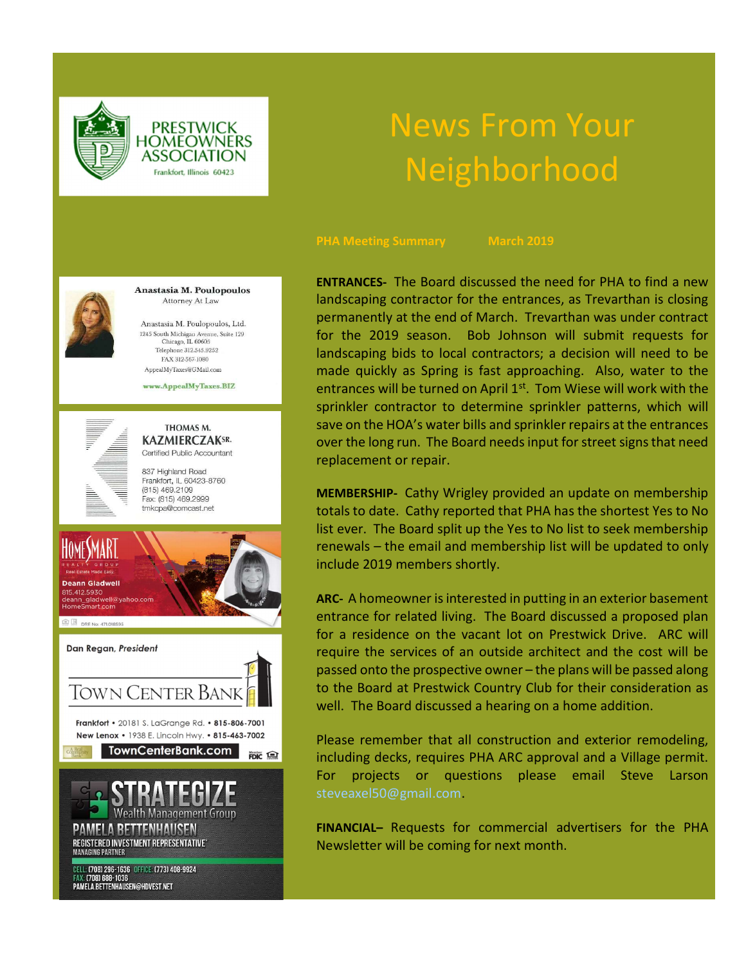

# News From Your Neighborhood



ENTRANCES- The Board discussed the need for PHA to find a new landscaping contractor for the entrances, as Trevarthan is closing permanently at the end of March. Trevarthan was under contract for the 2019 season. Bob Johnson will submit requests for landscaping bids to local contractors; a decision will need to be made quickly as Spring is fast approaching. Also, water to the entrances will be turned on April 1st. Tom Wiese will work with the sprinkler contractor to determine sprinkler patterns, which will save on the HOA's water bills and sprinkler repairs at the entrances over the long run. The Board needs input for street signs that need replacement or repair.

MEMBERSHIP- Cathy Wrigley provided an update on membership totals to date. Cathy reported that PHA has the shortest Yes to No list ever. The Board split up the Yes to No list to seek membership renewals – the email and membership list will be updated to only include 2019 members shortly.

ARC- A homeowner is interested in putting in an exterior basement entrance for related living. The Board discussed a proposed plan for a residence on the vacant lot on Prestwick Drive. ARC will require the services of an outside architect and the cost will be passed onto the prospective owner – the plans will be passed along to the Board at Prestwick Country Club for their consideration as well. The Board discussed a hearing on a home addition.

Please remember that all construction and exterior remodeling, including decks, requires PHA ARC approval and a Village permit. For projects or questions please email Steve Larson steveaxel50@gmail.com.

FINANCIAL– Requests for commercial advertisers for the PHA Newsletter will be coming for next month.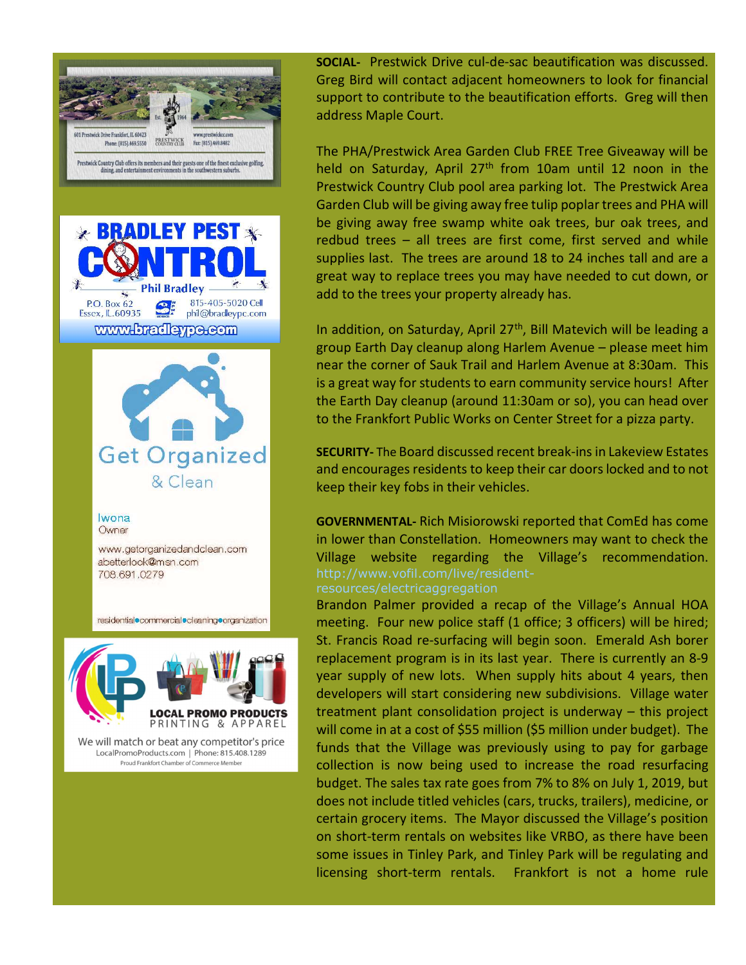





Iwona Owner

www.getorganizedandclean.com abetterlook@msn.com 708.691.0279

residential commercial cleaning crganization



We will match or beat any competitor's price LocalPromoProducts.com | Phone: 815.408.1289 Proud Frankfort Chamber of Comr erce Memb

SOCIAL- Prestwick Drive cul-de-sac beautification was discussed. Greg Bird will contact adjacent homeowners to look for financial support to contribute to the beautification efforts. Greg will then address Maple Court.

The PHA/Prestwick Area Garden Club FREE Tree Giveaway will be held on Saturday, April  $27<sup>th</sup>$  from 10am until 12 noon in the Prestwick Country Club pool area parking lot. The Prestwick Area Garden Club will be giving away free tulip poplar trees and PHA will be giving away free swamp white oak trees, bur oak trees, and redbud trees – all trees are first come, first served and while supplies last. The trees are around 18 to 24 inches tall and are a great way to replace trees you may have needed to cut down, or add to the trees your property already has.

In addition, on Saturday, April  $27<sup>th</sup>$ , Bill Matevich will be leading a group Earth Day cleanup along Harlem Avenue – please meet him near the corner of Sauk Trail and Harlem Avenue at 8:30am. This is a great way for students to earn community service hours! After the Earth Day cleanup (around 11:30am or so), you can head over to the Frankfort Public Works on Center Street for a pizza party.

SECURITY- The Board discussed recent break-ins in Lakeview Estates and encourages residents to keep their car doors locked and to not keep their key fobs in their vehicles.

GOVERNMENTAL- Rich Misiorowski reported that ComEd has come in lower than Constellation. Homeowners may want to check the Village website regarding the Village's recommendation. http://www.vofil.com/live/residentresources/electricaggregation

Brandon Palmer provided a recap of the Village's Annual HOA meeting. Four new police staff (1 office; 3 officers) will be hired; St. Francis Road re-surfacing will begin soon. Emerald Ash borer replacement program is in its last year. There is currently an 8-9 year supply of new lots. When supply hits about 4 years, then developers will start considering new subdivisions. Village water treatment plant consolidation project is underway – this project will come in at a cost of \$55 million (\$5 million under budget). The funds that the Village was previously using to pay for garbage collection is now being used to increase the road resurfacing budget. The sales tax rate goes from 7% to 8% on July 1, 2019, but does not include titled vehicles (cars, trucks, trailers), medicine, or certain grocery items. The Mayor discussed the Village's position on short-term rentals on websites like VRBO, as there have been some issues in Tinley Park, and Tinley Park will be regulating and licensing short-term rentals. Frankfort is not a home rule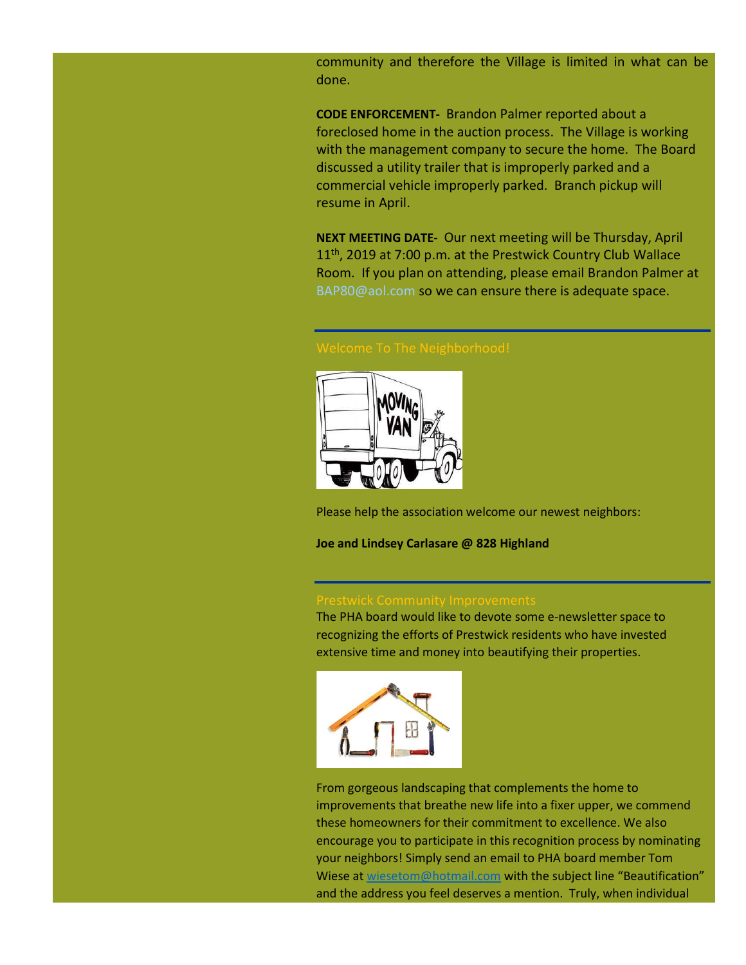community and therefore the Village is limited in what can be done.

CODE ENFORCEMENT- Brandon Palmer reported about a foreclosed home in the auction process. The Village is working with the management company to secure the home. The Board discussed a utility trailer that is improperly parked and a commercial vehicle improperly parked. Branch pickup will resume in April.

NEXT MEETING DATE- Our next meeting will be Thursday, April 11<sup>th</sup>, 2019 at 7:00 p.m. at the Prestwick Country Club Wallace Room. If you plan on attending, please email Brandon Palmer at BAP80@aol.com so we can ensure there is adequate space.



Please help the association welcome our newest neighbors:

Joe and Lindsey Carlasare @ 828 Highland

## Prestwick Community Improvements

The PHA board would like to devote some e-newsletter space to recognizing the efforts of Prestwick residents who have invested extensive time and money into beautifying their properties.



From gorgeous landscaping that complements the home to improvements that breathe new life into a fixer upper, we commend these homeowners for their commitment to excellence. We also encourage you to participate in this recognition process by nominating your neighbors! Simply send an email to PHA board member Tom Wiese at wiesetom@hotmail.com with the subject line "Beautification" and the address you feel deserves a mention. Truly, when individual